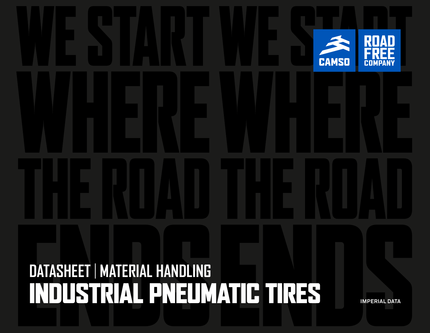# **DATASHEET** | **MATERIAL HANDLING**  INDUSTRIAL PNEUMATIC TIRES **IMPERIAL DATA**

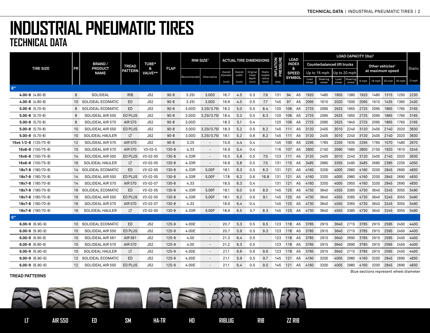|                         |    | <b>BRAND/</b><br><b>PRODUCT</b><br><b>NAME</b> |                |                 |             | <b>RIM SIZE<sup>1</sup></b> |                          | <b>ACTUAL TIRE DIMENSIONS</b> |                 |                          |                            |                       | <b>LOAD</b>   |                   | <b>LOAD CAPACITY (Ibs)<sup>2</sup></b> |                             |       |                          |       |           |                             |           |               |  |
|-------------------------|----|------------------------------------------------|----------------|-----------------|-------------|-----------------------------|--------------------------|-------------------------------|-----------------|--------------------------|----------------------------|-----------------------|---------------|-------------------|----------------------------------------|-----------------------------|-------|--------------------------|-------|-----------|-----------------------------|-----------|---------------|--|
|                         |    |                                                | <b>TREAD</b>   | <b>TUBE*</b>    |             |                             |                          |                               |                 |                          |                            | <b>ATION</b><br>SSURE | <b>INDEX</b>  |                   |                                        | Counterbalanced lift trucks |       |                          |       |           | Other vehicles <sup>3</sup> |           |               |  |
| <b>TIRE SIZE</b>        | PR |                                                | <b>PATTERN</b> | &<br>VALVE**    | <b>FLAP</b> |                             |                          | Overall                       | Overall         | Original                 | Static                     | 모<br>PRE              |               | &<br><b>SPEED</b> |                                        | Up to 16 mph                |       | Up to 20 mph             |       |           | at maximum speed            |           | <b>Static</b> |  |
|                         |    |                                                |                |                 |             | Recommended                 | Alternative              | diameter<br>(inch)            | width<br>(inch) | tread<br>depth<br>(inch) | loaded<br>radius<br>(Inch) | (PSI)                 | <b>SYMBOL</b> |                   | Load                                   | Steering                    | Load  | Steering                 | 6 mph |           | 16 mph 25 mph               | 30 mph    | 0 mph         |  |
| 8"                      |    |                                                |                |                 |             |                             |                          |                               |                 |                          |                            |                       |               |                   | wheel                                  | wheel                       | wheel | wheel                    |       |           |                             |           |               |  |
| $4.00 - 8$ $(4.80 - 8)$ | 8  | SOLIDEAL                                       | <b>RIB</b>     | JS <sub>2</sub> | $90 - 8$    | 3.251                       | 3.00D                    | 16.7                          | 4.5             | 0.3                      | 7.6                        | 131                   | 94            | A <sub>5</sub>    | 1920                                   | 1480                        | 1855  | 1380                     |       |           | 1920 1480 1315 1250         |           | 2230          |  |
| $4.00 - 8$ $(4.80 - 8)$ |    | 10 SOLIDEAL ECOMATIC                           | ED             | JS <sub>2</sub> | $90 - 8$    | 3.251                       | 3.00D                    | 16.6                          | 4.5             | 0.5                      | 7.7                        | 145                   | 97            | A5                | 2095                                   | 1610                        | 2020  | 1500                     | 2095  | 1610      | 1435                        | 1360      | 2430          |  |
| $5.00 - 8$ (5.70-8)     | 8  | SOLIDEAL ECOMATIC                              | ED             | JS <sub>2</sub> | $90 - 8$    | 3.00D                       | 3.25/3.75                | 18.2                          | 5.0             | 0.5                      | 8.4                        | 120                   | 106           | A5                | 2725                                   | 2095                        | 2625  | 1955                     | 2725  | 2095      | 1865                        | 1765      | 3165          |  |
| $5.00 - 8$ (5.70-8)     | 8  | SOLIDEAL AIR 550                               | <b>ED PLUS</b> | JS <sub>2</sub> | $90 - 8$    | 3.00D                       | 3.251/3.751              | 18.4                          | 5.2             | 0.5                      | 8.3                        | 120                   | 106 A5        |                   | 2725                                   | 2095                        | 2625  | 1955                     | 2725  | 2095      | 1865 1765                   |           | 3165          |  |
| $5.00 - 8$ (5.70-8)     | 8  | SOLIDEAL AIR 570                               | AIR 570        | JS <sub>2</sub> | $90 - 8$    | 3.00D                       |                          | 18.3                          | 5.1             | 0.4                      |                            | 120                   | 106 A5        |                   | 2725                                   | 2095                        | 2625  | 1945                     | 2725  | 2095      | 1865                        | 1765      | 3165          |  |
| $5.00 - 8$ (5.70-8)     | 10 | SOLIDEAL AIR 550                               | ED PLUS        | JS <sub>2</sub> | $90 - 8$    | 3.00D                       | 3.251/3.751              | 18.3                          | 5.2             | 0.5                      | 8.2                        | 145                   | 111 A5        |                   | 3120                                   | 2405                        | 3010  | 2240                     |       |           | 3120 2405 2140              | 2020      | 3630          |  |
| $5.00 - 8$ (5.70-8)     | 10 | SOLIDEAL HAULER                                | LT             | JS <sub>2</sub> | $90 - 8$    | 3.00D                       | 3.251/3.751              | 18.1                          | 5.2             | 0.6                      | 8.2                        | 145                   | 111           | A5                | 3120                                   | 2405                        |       | 3010 2240                | 3120  |           | 2405 2140                   | 2020      | 3630          |  |
| 15x4 1/2-8 (125/75-8)   | 12 | SOLIDEAL AIR 570                               | AIR 570        | JS <sub>2</sub> | $90 - 8$    | 3.25                        |                          | 15.6                          | 4.4             | 0.4                      |                            | 145                   | 100 A5        |                   | 2295                                   | 1765                        | 2205  | 1635                     | 2295  | 1765      | 1570                        | 1480      | 2670          |  |
| $16x6-8$ (150/75-8)     | 10 | SOLIDEAL AIR 570                               | AIR 570        | $V3 - 02 - 5$   | $130 - 8$   | 4.33                        |                          | 16.9                          | 5.4             | 0.4                      |                            | 116                   | 107           | A5                | 2800                                   | 2150                        | 2690  | 1985                     |       | 2800 2150 | 1920                        | 1810      | 3245          |  |
| $16x6-8$ (150/75-8)     | 14 | SOLIDEAL AIR 550                               | ED PLUS        | $V3 - 02 - 05$  | $130 - 8$   | 4.33R                       |                          | 16.5                          | 5.8             | 0.5                      | 7.5                        | 123                   | 111           | A5                | 3120                                   | 2405                        | 3010  | 2240                     | 3120  | 2405      | 2140                        | 2020      | 3630          |  |
| 16x6-8 (150/75-8)       | 16 | SOLIDEAL HAULER                                | LT             | $V3 - 02 - 05$  | $130 - 8$   | 4.33R                       |                          | 16.6                          | 5.8             | 0.5                      | 7.5                        | 131                   | 115 A5        |                   | 3485                                   | 2680                        | 3355  | 2495                     | 3485  | 2680      |                             | 2385 2250 | 4050          |  |
| $18x7-8$ (180/70-8)     |    | 14 SOLIDEAL ECOMATIC                           | ED.            | $V3 - 02 - 05$  | $130 - 8$   | 4.33R                       | 5.00F                    | 18.1                          | 6.3             | 0.5                      | 8.3                        | 131                   | 121 A5        |                   | 4160                                   | 3200                        | 4005  | 2980                     | 4160  | 3200      | 2845                        | 2690      | 4830          |  |
| $18x7-8$ (180/70-8)     | 14 | SOLIDEAL AIR 550                               | ED PLUS        | $V3 - 02 - 05$  | $130 - 8$   | 4.33R                       | 5.00F                    | 17.8                          | 6.2             | 0.6                      | 16.8                       | 131                   | 121 A5        |                   | 4160                                   | 3200                        | 4005  | 2980                     | 4160  | 3200      | 2845                        | 2690      | 4830          |  |
| 18x7-8 (180/70-8)       | 14 | SOLIDEAL AIR 570                               | AIR 570        | $V3 - 02 - 07$  | $130 - 8$   | 4.33                        |                          | 18.5                          | 6.3             | 0.4                      |                            | 131                   | 121           | A5                | 4160                                   | 3200                        | 4005  | 2955                     |       | 4160 3200 | 2845 2690                   |           | 4830          |  |
| $18x7-8$ (180/70-8)     |    | 16 SOLIDEAL ECOMATIC                           | ED             | $V3 - 02 - 05$  | $130 - 8$   | 4.33R                       | 5.00F                    | 18.1                          | 6.0             | 0.6                      | 8.0                        | 145                   | 125 A5        |                   | 4730                                   | 3640                        | 4555  | 3385                     | 4730  | 3640      | 3245 3055                   |           | 5490          |  |
| $18x7-8$ (180/70-8)     | 16 | SOLIDEAL AIR 550                               | <b>ED PLUS</b> | $V3 - 02 - 05$  | $130 - 8$   | 4.33R                       | 5.00F                    | 18.1                          | 6.2             | 0.6                      | 8.1                        | 145                   | 125 A5        |                   | 4730                                   | 3640                        | 4555  | 3385                     | 4730  | 3640      | 3245                        | 3055      | 5490          |  |
| $18x7-8$ (180/70-8)     | 16 | SOLIDEAL AIR 570                               | AIR 570        | $V3 - 02 - 07$  | $130 - 8$   | 4.33                        |                          | 18.6                          | 6.4             | 0.4                      |                            | 145                   | 125 A5        |                   | 4730                                   | 3640                        | 4555  | 3365                     | 4730  | 3640      |                             | 3245 3055 | 5490          |  |
| 18x7-8 (180/70-8)       | 16 | <b>SOLIDEAL HAULER</b>                         | LT             | $V3 - 02 - 05$  | $130 - 8$   | 4.33R                       | 5.00F                    | 18.6                          | 6.5             | 0.7                      | 8.3                        | 145                   | 125 A5        |                   | 4730                                   | 3640                        |       | 4555 3385                |       |           | 4730 3640 3245 3055         |           | 5490          |  |
| 9"                      |    |                                                |                |                 |             |                             |                          |                               |                 |                          |                            |                       |               |                   |                                        |                             |       |                          |       |           |                             |           |               |  |
| $6.00 - 9$ $(6.90 - 9)$ |    | 10 SOLIDEAL ECOMATIC                           | ED.            | JS2             | 125-9       | 4.00E                       |                          | 20.7                          | 5.3             | 0.5                      | 9.5                        | 123                   | 118 A5        |                   | 3785                                   | 2915                        |       | 3640 2715 3785 2915 2595 |       |           |                             | 2450      | 4400          |  |
| $6.00 - 9$ $(6.90 - 9)$ | 10 | SOLIDEAL AIR 550                               | <b>ED PLUS</b> | JS <sub>2</sub> | $125 - 9$   | 4.00E                       |                          | 20.7                          | 5.9             | 0.5                      | 9.3                        | 123                   | 118 A5        |                   | 3785                                   | 2915                        | 3640  | 2715 3785                |       | 2915      | 2595                        | 2450      | 4400          |  |
| $6.00 - 9$ $(6.90 - 9)$ | 10 | SOLIDEAL AIR 561                               | AIR 561        | JS <sub>2</sub> | $125 - 9$   | 4.00                        |                          | 21.3                          | 6.4             | 0.5                      |                            | 123                   | 118           | A5                | 3785                                   | 2915                        | 3640  | 2690                     | 3785  | 2915      | 2595                        | 2450      | 4400          |  |
| $6.00 - 9$ $(6.90 - 9)$ | 10 | SOLIDEAL AIR 570                               | AIR 570        | JS2             | $125 - 9$   | 4.00                        |                          | 21.2                          | 6.3             | 0.5                      |                            | 123 118 A5            |               |                   | 3785                                   | 2915                        | 3640  | 2690                     | 3785  |           | 2915 2595                   | 2450      | 4400          |  |
| $6.00-9$ $(6.90-9)$     | 10 | SOLIDEAL HAULER                                | LT             | JS <sub>2</sub> | $125 - 9$   | 4.00E                       | $\overline{\phantom{a}}$ | 21.1                          | 6.6             | 0.6                      | 9.6                        | 123                   | 118 A5        |                   | 3785                                   | 2915                        | 3640  | 2715                     | 3785  | 2915      | 2595                        | 2450      | 4400          |  |
| $6.00 - 9$ $(6.90 - 9)$ |    | 12 SOLIDEAL ECOMATIC                           | ED.            | JS2             | $125 - 9$   | 4.00E                       | $\overline{\phantom{a}}$ | 21.1                          | 5.9             | 0.5                      | 9.7                        | 145                   | 121           | A5                | 4160                                   | 3200                        | 4005  | 2980                     | 4160  | 3200      | 2845 2690                   |           | 4830          |  |
| $6.00 - 9$ $(6.90 - 9)$ | 12 | SOLIDEAL AIR 550                               | <b>ED PLUS</b> | JS <sub>2</sub> | $125 - 9$   | 4.00E                       |                          | 21.1                          | 6.4             | 0.5                      | 9.5                        | 145 121 A5            |               |                   | 4160                                   | 3200                        |       | 4005 2980                |       |           | 4160 3200 2845 2690         |           | 4830          |  |

**TREAD PATTERNS**

Blue sections represent wheel diameter

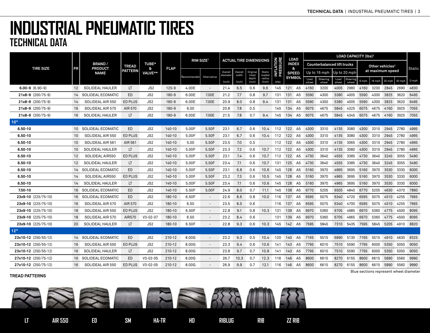|                         |                   | <b>BRAND/</b><br><b>PRODUCT</b><br><b>NAME</b> |                |                 |             | RIM SIZE <sup>1</sup> |                          | <b>ACTUAL TIRE DIMENSIONS</b> |                  |                   |                  |                       |                   |                | LOAD CAPACITY (Ibs) <sup>2</sup><br><b>LOAD</b> |                                    |               |                               |       |        |                             |                     |        |
|-------------------------|-------------------|------------------------------------------------|----------------|-----------------|-------------|-----------------------|--------------------------|-------------------------------|------------------|-------------------|------------------|-----------------------|-------------------|----------------|-------------------------------------------------|------------------------------------|---------------|-------------------------------|-------|--------|-----------------------------|---------------------|--------|
|                         |                   |                                                | <b>TREAD</b>   | <b>TUBE*</b>    | <b>FLAP</b> |                       |                          |                               |                  |                   |                  | <b>ATION</b><br>SSURE | <b>INDEX</b><br>& |                |                                                 | <b>Counterbalanced lift trucks</b> |               |                               |       |        | Other vehicles <sup>3</sup> |                     |        |
| <b>TIRE SIZE</b>        | PR                |                                                | <b>PATTERN</b> | &<br>VALVE**    |             |                       |                          | Overall<br>diameter           | Overall<br>width | Original<br>tread | Static<br>loaded | 불                     |                   | <b>SPEED</b>   |                                                 | Up to 16 mph                       |               | Up to 20 mph                  |       |        | at maximum speed            |                     | Static |
|                         |                   |                                                |                |                 |             | Recommended           | Alternative              | (inch)                        | (inch)           | depth<br>(inch)   | radius<br>(Inch) | (PSI)                 |                   | <b>SYMBOL</b>  | Load<br>wheel                                   | Steering<br>wheel                  | Load<br>wheel | Steering<br>wheel             | 6 mph | 16 mph | 25 mph                      | 30 mph              | 0 mph  |
| $6.00 - 9$ $(6.90 - 9)$ | 12                | SOLIDEAL HAULER                                | LT.            | JS2             | $125 - 9$   | 4.00E                 |                          | 21.4                          | 6.5              | 0.6               | 9.6              | 145                   | 121 A5            |                | 4160                                            | 3200                               | 4005          | 2980                          | 4160  | 3200   | 2845                        | 2690                | 4830   |
| 21x8-9 (200/75-9)       |                   | 14 SOLIDEAL ECOMATIC                           | ED             | JS <sub>2</sub> | 180-9       | 6.00E                 | 7.00E                    | 21.2                          | 7.7              | 0.8               | 9.7              | 131                   | 131 A5            |                | 5590                                            | 4300                               | 5380          | 4005                          | 5590  | 4300   | 3825                        | 3620                | 6495   |
| $21x8-9$ (200/75-9)     | 14                | SOLIDEAL AIR 550                               | <b>ED PLUS</b> | JS <sub>2</sub> | $180 - 9$   | 6.00E                 | 7.00E                    | 20.9                          | 8.0              | 0.8               | 9.4              | 131                   | 131               | A5             | 5590                                            | 4300                               | 5380          | 4005                          | 5590  | 4300   | 3825                        | 3620                | 6495   |
| 21x8-9 (200/75-9)       | 16                | SOLIDEAL AIR 570                               | AIR 570        | JS <sub>2</sub> | $180 - 9$   | 6.00                  |                          | 20.8                          | 7.8              | 0.5               |                  | 145                   | 134               | A <sub>5</sub> | 6075                                            | 4675                               | 5845          | 4325                          | 6075  | 4675   | 4160                        | 3925                | 7055   |
| $21x8-9$ (200/75-9)     | 16                | SOLIDEAL HAULER                                | LT.            | JS <sub>2</sub> | 180-9       | 6.00E                 | 7.00E                    | 21.5                          | 7.8              | 0.7               | 9.4              | 145                   | 134 A5            |                | 6075                                            | 4675                               | 5845          | 4345                          |       |        |                             | 6075 4675 4160 3925 | 7055   |
| 10"                     |                   |                                                |                |                 |             |                       |                          |                               |                  |                   |                  |                       |                   |                |                                                 |                                    |               |                               |       |        |                             |                     |        |
| $6.50 - 10$             |                   | 10 SOLIDEAL ECOMATIC                           | <b>ED</b>      | JS2             | 140-10      | 5.00F                 | 5.50F                    | 23.1                          | 6.7              | 0.6               | 10.4             | 112 122 A5            |                   |                | 4300                                            | 3310                               | 4135          | 3080                          | 4300  |        | 3310 2945                   | 2780                | 4995   |
| $6.50 - 10$             | 10 <sup>°</sup>   | SOLIDEAL AIR 550                               | <b>ED PLUS</b> | JS2             | 140-10      | 5.00F                 | 5.50F                    | 23.1                          | 6.7              | 0.6               | 10.4             | 112 122 A5            |                   |                | 4300                                            | 3310                               | 4135          | 3080                          | 4300  |        | 3310 2945 2780              |                     | 4995   |
| 6.50-10                 | 10 <sup>°</sup>   | SOLIDEAL AIR 561                               | AIR 561        | JS <sub>2</sub> | 140-10      | 5.00                  | 5.50F                    | 23.5                          | 7.0              | 0.5               |                  | 112 122 A5            |                   |                | 4300                                            | 3310                               | 4135          | 3065                          | 4300  |        | 3310 2945 2780              |                     | 4995   |
| 6.50-10                 | 10                | SOLIDEAL HAULER                                | LT             | JS2             | 140-10      | 5.00F                 | 5.50F                    | 23.3                          | 7.2              | 0.6               | 10.7             | 112                   | 122 A5            |                | 4300                                            | 3310                               | 4135          | 3080                          | 4300  |        | 3310 2945 2780              |                     | 4995   |
| $6.50 - 10$             | $12 \overline{ }$ | SOLIDEAL AIR550                                | <b>ED PLUS</b> | JS <sub>2</sub> | 140-10      | 5.00F                 | 5.50F                    | 23.1                          | 7.4              | 0.6               | 10.7             | 112                   | 122               | A5             | 4730                                            | 3640                               | 4555          | 3385                          | 4730  | 3640   | 3245                        | 3055                | 5490   |
| 6.50-10                 | $12 \overline{ }$ | SOLIDEAL HAULER                                | LT.            | JS2             | 140-10      | 5.00F                 | 5.50F                    | 23.4                          | 7.1              | 0.6               | 10.7             | 131                   | 125               | A <sub>5</sub> | 4730                                            | 3640                               | 4555          | 3385                          | 4730  | 3640   |                             | 3245 3055           | 5490   |
| $6,50-10$               |                   | 14 SOLIDEAL ECOMATIC                           | ED             | JS <sub>2</sub> | 140-10      | 5.00F                 | 5.50F                    | 23.1                          | 6.8              | 0.6               | 10.6             | 145                   | 128 A5            |                | 5160                                            | 3970                               | 4965          | 3695                          | 5160  | 3970   | 3530 3330                   |                     | 6000   |
| 6.50-10                 | 14                | SOLIDEAL AIR550                                | <b>ED PLUS</b> | JS <sub>2</sub> | 140-10      | 5.00F                 | 5.50F                    | 23.2                          | 7.3              | 0.6               | 10.5             | 145                   | 128               | A5             | 5160                                            | 3970                               | 4965          | 3695                          | 5160  | 3970   | 3530                        | 3330                | 6000   |
| 6.50-10                 | 14                | <b>SOLIDEAL HAULER</b>                         | LT             | JS <sub>2</sub> | 140-10      | 5.00F                 | 5.50F                    | 23.4                          | 7.1              | 0.6               | 10.6             | 145                   | 128               | A <sub>5</sub> | 5160                                            | 3970                               | 4965          | 3695                          | 5160  | 3970   |                             | 3530 3330           | 6000   |
| 7.50-10                 |                   | 16 SOLIDEAL ECOMATIC                           | ED.            | JS <sub>2</sub> | 140-10      | 5.50F                 | 5.00F                    | 24.9                          | 8.0              | 0.7               | 11.1             | 145                   | 138 A5            |                | 6770                                            | 5205                               | 6505          | 4840                          | 6770  | 5205   |                             | 4630 4370           | 7860   |
| 23x9-10 (225/75-10)     |                   | 16 SOLIDEAL ECOMATIC                           | ED.            | JS2             | 180-10      | 6.50F                 | $\overline{\phantom{a}}$ | 22.6                          | 8.6              | 0.8               | 10.0             | 116                   | 137               | A5             | 6595                                            | 5075                               | 6340          | 4720                          | 6595  | 5075   | 4510                        | 4255                | 7665   |
| 23x9-10 (225/75-10)     | 16                | SOLIDEAL AIR 570                               | AIR 570        | JS <sub>2</sub> | 180-10      | 6.50                  |                          | 23.5                          | 8.5              | 0.6               |                  | 116                   | 137               | A5             | 6595                                            | 5075                               | 6340          | 4700                          | 6595  | 5075   | 4510                        | 4255                | 7665   |
| 23x9-10 (225/75-10)     | 18                | SOLIDEAL AIR 550                               | <b>ED PLUS</b> | JS <sub>2</sub> | 180-10      | 6.50F                 | $\overline{\phantom{a}}$ | 22.8                          | 9.1              | 0.8               | 10.3             | 131                   | 139               | A <sub>5</sub> | 6970                                            | 5360                               | 6705          | 4985                          | 6970  | 5360   | 4775                        | 4500                | 8095   |
| 23x9-10 (225/75-10)     | 18                | SOLIDEAL AIR 570                               | AIR570         | $V3 - 02 - 07$  | 180-10      | 6.50                  | $\overline{\phantom{a}}$ | 23.2                          | 8.4              | 0.6               |                  | 131                   | 139               | A <sub>5</sub> | 6970                                            | 5360                               | 6705          | 4965                          | 6970  | 5360   | 4775                        | 4500                | 8095   |
| 23x9-10 (225/75-10)     | 20                | SOLIDEAL HAULER                                | LT.            | JS2             | 180-10      | 6.50F                 | $\overline{\phantom{a}}$ | 22.8                          | 9.3              | 0.6               | 10.3             | 145                   | 142 A5            |                | 7595                                            | 5845                               |               | 7310 5435 7595 5845           |       |        |                             | 5205 4910           | 8820   |
| $12"$                   |                   |                                                |                |                 |             |                       |                          |                               |                  |                   |                  |                       |                   |                |                                                 |                                    |               |                               |       |        |                             |                     |        |
| 23x10-12 (250/55-12)    |                   | 14 SOLIDEAL ECOMATIC                           | ED             | JS2             | 210-12      | 8.00G                 | $\overline{\phantom{a}}$ | 23.2                          | 9.3              | 0.5               | 10.4             | 120                   | 140 A5            |                | 7165                                            | 5515                               | 6890          | 5130                          | 7165  |        | 5515 4910                   | 4630                | 8325   |
| 23x10-12 (250/55-12)    | 16                | SOLIDEAL AIR 550                               | ED PLUS        | JS2             | 210-12      | 8.00G                 | $\overline{\phantom{a}}$ | 23.3                          | 9.4              | 0.6               | 10.6             | 141                   | 143 A5            |                | 7795                                            | 6010                               |               | 7510 5590 7795                |       | 6000   |                             | 5350 5050           | 9050   |
| 23x10-12 (250/55-12)    | 16                | SOLIDEAL HAULER                                | LT.            | JS <sub>2</sub> | 210-12      | 8.00G                 | $\overline{\phantom{a}}$ | 23.8                          | 9.7              | 0.7               | 10.8             | 141                   | 143               | A5             | 7795                                            | 6010                               | 7510          | 5590                          | 7795  | 6000   | 5350                        | 5050                | 9050   |
| 27x10-12 (250/75-12)    |                   | 16 SOLIDEAL ECOMATIC                           | ED             | $V3 - 02 - 05$  | 210-12      | 8.00G                 |                          | 26.7                          | 10.3             | 0.7               | 12.3             | 116                   | 146               | A5             | 8600                                            | 6615                               | 8270          | 6155                          | 8600  | 6615   | 5890                        | 5560                | 9990   |
| 27x10-12 (250/75-12)    | 16                | SOLIDEAL AIR 550                               | ED PLUS        | $V3 - 02 - 05$  | 210-12      | 8.00G                 | $\overline{\phantom{a}}$ | 26.9                          | 9.9              | 0.7               | 12.1             | 116 146 A5            |                   |                | 8600                                            | 6615                               |               | 8270 6155 8600 6615 5890 5560 |       |        |                             |                     | 9990   |

#### **TREAD PATTERNS**

Blue sections represent wheel diameter

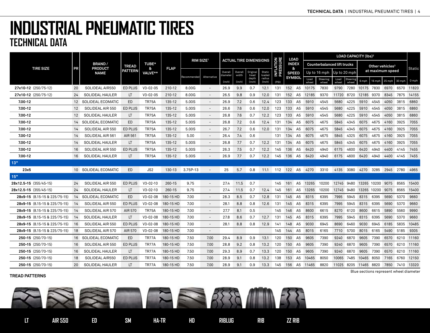|                               |                   |                                 |                |                 |             | RIM SIZE <sup>1</sup> |                          | <b>ACTUAL TIRE DIMENSIONS</b> |                  |                   |                  |                 | LOAD              |                | <b>LOAD CAPACITY (Ibs)<sup>2</sup></b> |                                    |               |              |                       |        |                                  |                                       |            |
|-------------------------------|-------------------|---------------------------------|----------------|-----------------|-------------|-----------------------|--------------------------|-------------------------------|------------------|-------------------|------------------|-----------------|-------------------|----------------|----------------------------------------|------------------------------------|---------------|--------------|-----------------------|--------|----------------------------------|---------------------------------------|------------|
|                               |                   | <b>BRAND/</b><br><b>PRODUCT</b> | <b>TREAD</b>   | <b>TUBE*</b>    | <b>FLAP</b> |                       |                          |                               |                  |                   |                  | <b>ATION</b>    | <b>INDEX</b><br>& |                |                                        | <b>Counterbalanced lift trucks</b> |               |              |                       |        | Other vehicles <sup>3</sup>      |                                       |            |
| <b>TIRE SIZE</b>              | <b>PR</b>         | <b>NAME</b>                     | <b>PATTERN</b> | &<br>VALVE**    |             |                       |                          | Overall<br>diameter           | Overall<br>width | Original<br>tread | Static<br>loaded | 돌               | <b>SPEED</b>      |                |                                        | Up to 16 mph                       |               | Up to 20 mph |                       |        | at maximum speed                 |                                       | Static     |
|                               |                   |                                 |                |                 |             | Recommended           | Alternative              | (inch)                        | (inch)           | depth<br>(inch)   | radius<br>(Inch) |                 | <b>SYMBOL</b>     |                | Load<br>wheel                          | <b>Steering</b><br>wheel           | Load<br>wheel | Steering     | 6 mph                 | 16 mph | 25 mph                           | 30 mph                                | 0 mph      |
| 27x10-12 (250/75-12)          | 20                | SOLIDEAL AIR550                 | ED PLUS        | $V3 - 02 - 05$  | 210-12      | 8.00G                 |                          | 26.9                          | 9.9              | 0.7               | 12.1             | 131             | 152 A5            |                | 10175                                  | 7830                               | 9790          |              | 7280 10175 7830       |        | 6970                             | 6570                                  | 11820      |
| 27x10-12 (250/75-12)          | 24                | SOLIDEAL HAULER                 | LT             | $V3 - 02 - 05$  | 210-12      | 8.00G                 | $\overline{\phantom{a}}$ | 26.5                          | 9.8              | 0.9               | 12.0             | 131             | 152 A5            |                | 12185                                  | 9370                               |               |              | 11720 8720 12185 9370 |        | 8345 7875                        |                                       | 14155      |
| 7.00-12                       |                   | 12 SOLIDEAL ECOMATIC            | <b>ED</b>      | <b>TR75A</b>    | 135-12      | 5.00S                 | $\overline{\phantom{a}}$ | 26.9                          | 7.2              | 0.6               | 12.4             | 123             | 133 A5            |                | 5910                                   | 4545                               | 5680          | 4225         | 5910                  | 4545   | 4050                             | 3815                                  | 6860       |
| $7.00 - 12$                   | $12 \overline{ }$ | SOLIDEAL AIR 550                | <b>ED PLUS</b> | <b>TR75A</b>    | 135-12      | 5.00S                 | $\overline{\phantom{a}}$ | 26.6                          | 7.6              | 0.6               | 12.0             | 123             | 133 A5            |                | 5910                                   | 4545                               | 5680          | 4225         | 5910                  | 4545   | 4050 3815                        |                                       | 6860       |
| 7.00-12                       | 12                | SOLIDEAL HAULER                 | LT.            | <b>TR75A</b>    | 135-12      | 5.00S                 | $\overline{\phantom{a}}$ | 26.8                          | 7.6              | 0.7               | 12.2             | 123             | 133 A5            |                | 5910                                   | 4545                               | 5680          | 4225         | 5910                  | 4545   | 4050 3815                        |                                       | 6860       |
| $7.00 - 12$                   | 14                | SOLIDEAL ECOMATIC               | ED.            | <b>TR75A</b>    | 135-12      | 5.00S                 | $\overline{\phantom{a}}$ | 26.8                          | 7.2              | 0.6               | 12.4             | 131             | 134               | A <sub>5</sub> | 6075                                   | 4675                               | 5845          | 4345         | 6075                  | 4675   | 4160                             | 3925                                  | 7055       |
| 7.00-12                       | 14                | SOLIDEAL AIR 550                | ED PLUS        | <b>TR75A</b>    | 135-12      | 5.00S                 | $\overline{\phantom{a}}$ | 26.7                          | 7.2              | 0.6               | 12.0             | 131             | 134               | A5             | 6075                                   | 4675                               | 5845          | 4345         | 6075                  | 4675   | 4160                             | 3925                                  | 7055       |
| $7.00 - 12$                   | 14                | SOLIDEAL AIR 561                | AIR 561        | <b>TR75A</b>    | 135-12      | 5.00                  | $\overline{\phantom{a}}$ | 26.4                          | 7.4              | 0.6               |                  | 131             | 134 A5            |                | 6075                                   | 4675                               | 5845          | 4325         | 6075                  | 4675   | 4160                             | 3925                                  | 7055       |
| 7.00-12                       | 14                | <b>SOLIDEAL HAULER</b>          | LT.            | <b>TR75A</b>    | 135-12      | 5.00S                 | $\overline{\phantom{a}}$ | 26.8                          | 7.7              | 0.7               | 12.2             | 131             | 134 A5            |                | 6075                                   | 4675                               | 5845          | 4345         | 6075                  |        | 4675 4160 3925                   |                                       | 7055       |
| 7.00-12                       | 16                | SOLIDEAL AIR 550                | ED PLUS        | <b>TR75A</b>    | 135-12      | 5.00S                 | $\overline{\phantom{a}}$ | 26.3                          | 7.5              | 0.7               | 12.2             | 145             | 136 A5            |                | 6420                                   | 4940                               | 6175          | 4600         | 6420                  | 4940   |                                  | 4400 4145                             | 7455       |
| $7.00 - 12$                   | 16                | SOLIDEAL HAULER                 | LT.            | <b>TR75A</b>    | 135-12      | 5.00S                 | $\overline{\phantom{a}}$ | 26.9                          | 7.7              | 0.7               | 12.2             | 145             | 136 A5            |                | 6420                                   | 4940                               | 6175          | 4600         | 6420                  | 4940   | 4400 4145                        |                                       | 7455       |
| 13"                           |                   |                                 |                |                 |             |                       |                          |                               |                  |                   |                  |                 |                   |                |                                        |                                    |               |              |                       |        |                                  |                                       |            |
| 23x5                          |                   | 10 SOLIDEAL ECOMATIC            | ED.            | JS <sub>2</sub> | 130-13      | 3.75P-13              | $\overline{\phantom{a}}$ | 25                            | 5.7              | 0.8               |                  | 11.1 112 122 A5 |                   |                | 4270                                   | 3310                               |               |              |                       |        |                                  | 4135 3080 4270 3285 2945 2780 4965    |            |
| 15"                           |                   |                                 |                |                 |             |                       |                          |                               |                  |                   |                  |                 |                   |                |                                        |                                    |               |              |                       |        |                                  |                                       |            |
| 28x12.5-15 (355/45-15)        | 24                | SOLIDEAL AIR 550                | ED PLUS        | $V3 - 02 - 10$  | 260-15      | 9.75                  |                          | 27.4                          | 11.5             | 0.7               |                  | 145             | 161               | A5             | 13265                                  | 10200                              | 12745 9480    |              | 13265 10200           |        | 9075                             | 8565                                  | 15400      |
| 28x12.5-15 (355/45-15)        | 24                | <b>SOLIDEAL HAULER</b>          | LT             | $V3 - 02 - 10$  | 260-15      | 9.75                  | $\overline{\phantom{a}}$ | 27.4                          | 11.5             | 0.7               | 12.4             | 145             | 161 A5            |                | 13265                                  | 10200                              |               |              |                       |        | 12745 9480 13265 10200 9075 8565 |                                       | 15400      |
| 28x9-15 (8.15-15 & 225/75-15) |                   | 14 SOLIDEAL ECOMATIC            | ED.            | $V3-02-08$      | 180-15 HD   | 7.00                  | $\overline{\phantom{a}}$ | 28.3                          | 8.5              | 0.7               | 12.8             | 131             | 145 A5            |                | 8315                                   | 6395                               | 7995          | 5945         | 8315                  | 6395   | 5690                             | 5370                                  | 9660       |
| 28x9-15 (8.15-15 & 225/75-15) | 14                | SOLIDEAL AIR 550                | ED PLUS        | $V3 - 02 - 08$  | 180-15 HD   | 7.00                  | $\overline{\phantom{a}}$ | 28.1                          | 8.8              | 0.8               | 12.6             | 131             | 145               | A5             | 8315                                   | 6395                               | 7995          | 5945         | 8315                  | 6395   | 5690                             | 5370                                  | 9660       |
| 28x9-15 (8.15-15 & 225/75-15) | 14                | SOLIDEAL AIR 570                | AIR 570        | <b>TR75A</b>    | 180-15 HD   | 7.00                  | $\overline{\phantom{a}}$ | 27.7                          | 8.1              | 0.5               |                  | 145             | 146 A5            |                | 8600                                   | 6615                               | 8270          | 6120         | 8600                  | 6615   | 5890                             | 5560                                  | 9990       |
| 28x9-15 (8.15-15 & 225/75-15) | 14                | <b>SOLIDEAL HAULER</b>          | LT.            | $V3 - 02 - 08$  | 180-15 HD   | 7.00                  | $\overline{\phantom{a}}$ | 27.8                          | 8.6              | 0.7               | 12.7             | 131             | 145 A5            |                | 8315                                   | 6395                               | 7995          | 5945         | 8315                  | 6395   | 5690                             | 5370                                  | 9660       |
| 28x9-15 (8.15-15 & 225/75-15) | 16                | SOLIDEAL AIR 550                | ED PLUS        | $V3-02-08$      | 180-15 HD   | 7.00                  | $\overline{\phantom{a}}$ | 28.1                          | 8.8              | 0.8               | 12.9             | 141             | 148 A5            |                | 9030                                   | 6945                               | 8690          | 6460         | 9030                  | 6945   | 6185 5835                        |                                       | 10485      |
| 28x9-15 (8.15-15 & 225/75-15) | 18                | SOLIDEAL AIR 570                | AIR 570        | $V3 - 02 - 08$  | 180-15 HD   | 7.00                  | $\overline{\phantom{a}}$ |                               |                  |                   |                  | 145             | 144 A5            |                | 8015                                   | 6165                               | 7710          | 5700         | 8015                  | 6165   | 5490                             | 5185                                  | 9305       |
| 250-15 (250/70-15)            | 16                | SOLIDEAL ECOMATIC               | <b>ED</b>      | TR77A           | 180-15 HD   | 7.50                  | 7.00                     | 29.4                          | 8.9              | 0.9               | 13.1             | 120             | 150               | A5             | 9605                                   | 7390                               | 9240          | 6870         | 9605                  | 7390   | 6570                             |                                       | 6210 11160 |
| 250-15 (250/70-15)            | 16                | SOLIDEAL AIR 550                | ED PLUS        | TR77A           | 180-15 HD   | 7.50                  | 7.00                     | 28.8                          | 9.2              | 0.8               | 13.2             | 120             | 150 A5            |                | 9605                                   | 7390                               | 9240          | 6870         | 9605                  | 7390   | 6570                             |                                       | 6210 11160 |
| 250-15 (250/70-15)            | 16                | <b>SOLIDEAL HAULER</b>          | LT.            | TR77A           | 180-15 HD   | 7.50                  | 7.00                     | 29.3                          | 8.9              | 0.7               | 13.3             | 120             | 150               | A5             | 9605                                   | 7390                               | 9240          | 6870         | 9605                  | 7390   | 6570                             |                                       | 6210 11160 |
| 250-15 (250/70-15)            | 18                | SOLIDEAL AIR550                 | ED PLUS        | TR77A           | 180-15 HD   | 7.50                  | 7.00                     | 28.9                          | 9.1              | 0.8               | 13.2             | 138             | 153               | A5             | 10465                                  | 8050                               | 10065 7485    |              | 10465 8050            |        | 7165                             | 6760                                  | 12150      |
| 250-15 (250/70-15)            | 20                | <b>SOLIDEAL HAULER</b>          | LT.            | TR77A           | 180-15 HD   | 7.50                  | 7.00                     | 28.9                          | 9.1              | 0.9               | 13.3             | 145             |                   |                | 156 A5 11465                           | 8820                               |               |              |                       |        |                                  | 11025 8205 11465 8820 7850 7410 13320 |            |

#### **TREAD PATTERNS**

Blue sections represent wheel diameter

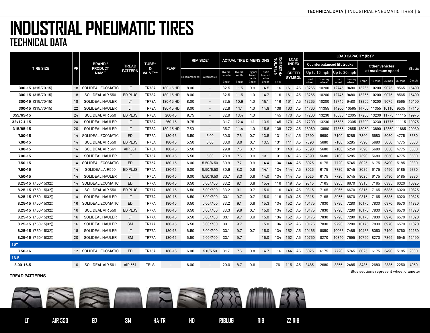|                           |           |                                                |                | <b>LOAD</b><br>RIM SIZE <sup>1</sup><br><b>ACTUAL TIRE DIMENSIONS</b> |                          |             |                          |                     |                  |                   |                  |                 | <b>LOAD CAPACITY (Ibs)<sup>2</sup></b> |                |                      |                                    |               |                                           |                                        |        |                             |                 |        |
|---------------------------|-----------|------------------------------------------------|----------------|-----------------------------------------------------------------------|--------------------------|-------------|--------------------------|---------------------|------------------|-------------------|------------------|-----------------|----------------------------------------|----------------|----------------------|------------------------------------|---------------|-------------------------------------------|----------------------------------------|--------|-----------------------------|-----------------|--------|
| <b>TIRE SIZE</b>          | <b>PR</b> | <b>BRAND/</b><br><b>PRODUCT</b><br><b>NAME</b> | <b>TREAD</b>   | <b>TUBE*</b><br>&                                                     | <b>FLAP</b>              |             |                          |                     |                  |                   |                  | LATION<br>SSURE | <b>INDEX</b><br>&                      |                |                      | <b>Counterbalanced lift trucks</b> |               |                                           |                                        |        | Other vehicles <sup>3</sup> |                 |        |
|                           |           |                                                | PATTERN        | VALVE**                                                               |                          |             |                          | Overall<br>diameter | Overall<br>width | Original<br>tread | Static<br>loaded | 절절              |                                        | <b>SPEED</b>   |                      | Up to 16 mph                       |               | Up to 20 mph                              |                                        |        | at maximum speed            |                 | Static |
|                           |           |                                                |                |                                                                       |                          | Recommended | Alternative              | (inch)              | (inch)           | depth<br>(inch)   | radius<br>(Inch) | (PSI)           |                                        | <b>SYMBOL</b>  | Load<br>wheel        | Steering<br>wheel                  | Load<br>wheel | Steering<br>wheel                         | 6 mph                                  | 16 mph | $25$ mph                    | 30 mph          | 0 mph  |
| 300-15 (315/70-15)        |           | 18 SOLIDEAL ECOMATIC                           | LT             | <b>TR78A</b>                                                          | 180-15 HD                | 8.00        | $\overline{\phantom{a}}$ | 32.5                | 11.5             | 0.9               | 14.5             | 116             | 161 A5                                 |                | 13265                | 10200                              |               | 12745 9480 13265 10200 9075 8565 15400    |                                        |        |                             |                 |        |
| 300-15 (315/70-15)        | 18        | SOLIDEAL AIR 550                               | <b>ED PLUS</b> | <b>TR78A</b>                                                          | 180-15 HD                | 8.00        | $\overline{\phantom{a}}$ | 32.5                | 11.5             | 1.0               | 14.7             | 116             | 161                                    | A5             | 13265                | 10200                              | 12745 9480    |                                           | 13265 10200                            |        | 9075                        | 8565            | 15400  |
| 300-15 (315/70-15)        | 18        | SOLIDEAL HAULER                                | LT.            | <b>TR78A</b>                                                          | 180-15 HD                | 8.00        | $\overline{\phantom{a}}$ | 33.5                | 10.9             | 1.0               | 15.1             | 116             | 161                                    | A5             | 13265                | 10200                              |               | 12745 9480 13265 10200 9075 8565 15400    |                                        |        |                             |                 |        |
| $300-15$ (315/70-15)      | 22        | <b>SOLIDEAL HAULER</b>                         | LT.            | <b>TR78A</b>                                                          | 180-15 HD                | 8.00        | $\overline{\phantom{a}}$ | 32.8                | 11.1             | 1.0               | 14.8             | 138             |                                        |                | 163 A5 14760         | 11355                              |               | 14200 10565 14760 11355 10110 9535 17145  |                                        |        |                             |                 |        |
| 355/65-15                 | 24        | SOLIDEAL AIR 550                               | <b>ED PLUS</b> | TR78A                                                                 | 260-15                   | 9.75        |                          | 32.9                | 13.4             | 1.3               |                  | 145             | 170                                    | A <sub>5</sub> | 17200                | 13230                              |               | 16535 12305 17200 13230 11775 11115 19975 |                                        |        |                             |                 |        |
| 32x12.1-15                | 24        | SOLIDEAL HAULER                                | LT             | <b>TR78A</b>                                                          | 260-15                   | 9.75        |                          | 31.7                | 12.4             | 1.1               | 13.9             | 145             | 170                                    | A <sub>5</sub> | 17200                | 13230                              |               | 16535 12305 17200 13230 11775 11115 19975 |                                        |        |                             |                 |        |
| 315/85-15                 | 20        | SOLIDEAL HAULER                                | LT.            | TR78A                                                                 | 180-15 HD                | 7.50        | $\overline{\phantom{a}}$ | 35.7                | 11.4             | 1.0               | 15.6             | 138             | 172 A5                                 |                | 18060                | 13890                              |               | 17365 12855 18060 13890 12360 11665       |                                        |        |                             |                 | 20980  |
| 7.00-15                   | 14        | SOLIDEAL ECOMATIC                              | ED.            | <b>TR75A</b>                                                          | 180-15                   | 5.50        | 5.00                     | 30.0                | 7.6              | 0.7               | 13.5             | 131             | 141 A5                                 |                | 7390                 | 5680                               | 7100          | 5285                                      | 7390                                   | 5680   | 5050 4775                   |                 | 8580   |
| 7.00-15                   | 14        | SOLIDEAL AIR 550                               | <b>ED PLUS</b> | TR75A                                                                 | 180-15                   | 5.50        | 5.00                     | 30.0                | 8.0              | 0.7               | 13.5             | 131             | 141                                    | A5             | 7390                 | 5680                               | 7100          | 5285                                      | 7390                                   | 5680   | 5050 4775                   |                 | 8580   |
| 7.00-15                   | 14        | SOLIDEAL AIR 561                               | AIR 561        | <b>TR75A</b>                                                          | 180-15                   | 5.50        |                          | 29.8                | 7.6              | 0.7               |                  | 131             | 140 A5                                 |                | 7390                 | 5680                               | 7100          | 5250                                      | 7390                                   | 5680   | 5050 4775                   |                 | 8580   |
| 7.00-15                   | 14        | SOLIDEAL HAULER                                | LT.            | <b>TR75A</b>                                                          | 180-15                   | 5.50        | 5.00                     | 28.9                | 7.5              | 0.9               | 13.1             | 131             | 141                                    | A5             | 7390                 | 5680                               | 7100          | 5285                                      | 7390                                   | 5680   | 5050                        | 4775            | 8580   |
| 7.50-15                   | 14        | SOLIDEAL ECOMATIC                              | ED.            | <b>TR75A</b>                                                          | 180-15                   | 6.00        | 5.50/6.50                | 30.9                | 7.7              | 0.9               | 14.4             | 134             | 144                                    | A5             | 8025                 | 6175                               | 7720          | 5745                                      | 8025                                   | 6175   | 5490 5185                   |                 | 9330   |
| 7.50-15                   | 14        | SOLIDEAL AIR550                                | <b>ED PLUS</b> | <b>TR75A</b>                                                          | 180-15                   | 6.00        | 5.50/6.50                | 30.9                | 8.3              | 0.8               | 14.1             | 134             | 144 A5                                 |                | 8025                 | 6175                               |               | 7720 5745                                 | 8025                                   |        | 6175 5490 5185              |                 | 9330   |
| $7.50 - 15$               | 14        | SOLIDEAL HAULER                                | LT.            | <b>TR75A</b>                                                          | 180-15                   | 6.00        | 5.50/6.50                | 30.7                | 8.3              | 0.8               | 14.0             | 134             | 144                                    | A5             | 8025                 | 6175                               | 7720          | 5745                                      | 8025                                   | 6175   | 5490                        | 5185            | 9330   |
| $8.25 - 15$ (7.50-15(32)) | 14        | SOLIDEAL ECOMATIC                              | ED.            | TR77A                                                                 | 180-15                   | 6.50        | 6.00/7.00                | 33.2                | 9.1              | 0.8               | 15.4             | 116             | 149                                    | A <sub>5</sub> | 9315                 | 7165                               | 8965          | 6670                                      | 9315                                   | 7165   | 6385                        | 6020            | 10825  |
| $8.25 - 15$ (7.50-15(32)) | 14        | SOLIDEAL AIR 550                               | <b>ED PLUS</b> | TR77A                                                                 | 180-15                   | 6.50        | 6.00/7.00                | 33.2                | 9.1              | 0.7               | 15.0             | 116             | 149 A5                                 |                | 9315                 | 7165                               | 8965          | 6670                                      | 9315 7165                              |        | 6385 6020                   |                 | 10825  |
| $8.25 - 15$ (7.50-15(32)) | 14        | <b>SOLIDEAL HAULER</b>                         | LT.            | TR77A                                                                 | 180-15                   | 6.50        | 6.00/7.00                | 33.1                | 9.7              | 0.7               | 15.0             | 116             | 149                                    | A5             | 9315                 | 7165                               | 8965          | 6670                                      | 9315                                   | 7165   | 6385                        | 6020            | 10825  |
| $8.25 - 15$ (7.50-15(32)) |           | 16 SOLIDEAL ECOMATIC                           | ED             | TR77A                                                                 | 180-15                   | 6.50        | 6.00/7.00                | 33.2                | 9.1              | 0.8               | 15.3             | 134             | 152 A5                                 |                | 10175                | 7830                               | 9790          | 7280                                      | 10175 7830                             |        |                             | 6970 6570 11820 |        |
| $8.25 - 15$ (7.50-15(32)) | 16        | SOLIDEAL AIR 550                               | <b>ED PLUS</b> | TR77A                                                                 | 180-15                   | 6.50        | 6.00/7.00                | 33.3                | 9.9              | 0.7               | 15.0             | 134             |                                        |                | 152 A5 10175         | 7830                               | 9790          | 7280 10175 7830                           |                                        |        |                             | 6970 6570 11820 |        |
| $8.25 - 15$ (7.50-15(32)) | 16        | SOLIDEAL HAULER                                | LT.            | TR77A                                                                 | 180-15                   | 6.50        | 6.00/7.00                | 33.1                | 9.7              | 0.9               | 15.0             | 134             |                                        | 152 A5         | 10175                | 7830                               | 9790          | 7280                                      | 10175 7830                             |        | 6970                        | 6570            | 11820  |
| $8.25 - 15$ (7.50-15(32)) | 16        | SOLIDEAL HAULER                                | <b>SM</b>      | TR77A                                                                 | 180-15                   | 6.50        | 6.00/7.00                | 33.1                | 9.7              |                   | 15.0             | 134             |                                        |                | 152 A5 10175         | 7830                               | 9790          | 7280 10175 7830                           |                                        |        | 6970 6570 11820             |                 |        |
| $8.25 - 15$ (7.50-15(32)) | 18        | SOLIDEAL HAULER                                | LT.            | TR77A                                                                 | 180-15                   | 6.50        | 6.00/7.00                | 33.1                | 9.7              | 0.7               | 15.0             | 134             | 152 A5                                 |                | 10465                | 8050                               |               | 10065 7485 10465 8050 7190                |                                        |        |                             | 6760 12150      |        |
| $8.25 - 15$ (7.50-15(32)) | 20        | SOLIDEAL HAULER                                | <b>SM</b>      | TR77A                                                                 | 180-15                   | 6.50        | 6.00/7.00                | 33.1                | 9.7              |                   | 15.0             | 134             |                                        |                | 152 A5 10750         | 8270                               |               | 10340 7695 10750 8270 7365                |                                        |        |                             | 6945 12490      |        |
| 16"                       |           |                                                |                |                                                                       |                          |             |                          |                     |                  |                   |                  |                 |                                        |                |                      |                                    |               |                                           |                                        |        |                             |                 |        |
| 7.50-16                   |           | 12 SOLIDEAL ECOMATIC                           | ED.            | <b>TR75A</b>                                                          | 180-16                   | 6.00        | 5.0/5.50                 | 31.7                | 7.6              | 0.8               |                  |                 |                                        |                | 14.7 116 144 A5 8025 | 6175                               |               | 7720 5745 8025 6175 5490 5185             |                                        |        |                             |                 | 9330   |
| 16.5"                     |           |                                                |                |                                                                       |                          |             |                          |                     |                  |                   |                  |                 |                                        |                |                      |                                    |               |                                           |                                        |        |                             |                 |        |
| 8.00-16.5                 | 10        | SOLIDEAL AIR 561                               | AIR 561        | <b>TBLS</b>                                                           | $\overline{\phantom{a}}$ | 6.00        | $\overline{\phantom{a}}$ | 29.0                | 8.7              | 0.6               |                  | 76              | 115 A5                                 |                | 3485                 | 2680                               |               | 3355 2485                                 | 3485                                   | 2680   | 2385                        | 2250            | 4050   |
|                           |           |                                                |                |                                                                       |                          |             |                          |                     |                  |                   |                  |                 |                                        |                |                      |                                    |               |                                           | Blue sections represent wheel diameter |        |                             |                 |        |

**TREAD PATTERNS**

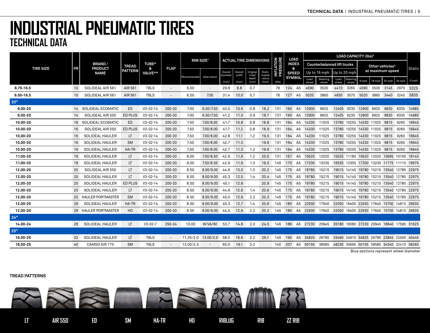|                  |                 |                                 |                |                   |                          | RIM SIZE <sup>1</sup> |             | <b>ACTUAL TIRE DIMENSIONS</b> |                  |                   |                  |                               | <b>LOAD</b>       |                | <b>LOAD CAPACITY (Ibs)2</b> |                                                                                   |                         |                         |             |        |                             |                                           |        |
|------------------|-----------------|---------------------------------|----------------|-------------------|--------------------------|-----------------------|-------------|-------------------------------|------------------|-------------------|------------------|-------------------------------|-------------------|----------------|-----------------------------|-----------------------------------------------------------------------------------|-------------------------|-------------------------|-------------|--------|-----------------------------|-------------------------------------------|--------|
| <b>TIRE SIZE</b> | PR              | <b>BRAND/</b><br><b>PRODUCT</b> | <b>TREAD</b>   | <b>TUBE*</b><br>& | <b>FLAP</b>              |                       |             |                               |                  |                   |                  | <b>INFLATION<br/>PRESSURE</b> | <b>INDEX</b><br>& |                |                             | <b>Counterbalanced lift trucks</b>                                                |                         |                         |             |        | Other vehicles <sup>3</sup> |                                           | Static |
|                  |                 | <b>NAME</b>                     | <b>PATTERN</b> | VALVE**           |                          | Recommended           | Alternative | Overall<br>diameter           | Overall<br>width | Original<br>tread | Static<br>loaded |                               | <b>SPEED</b>      |                |                             | Up to 16 mph                                                                      | Up to 20 mph            |                         |             |        | at maximum speed            |                                           |        |
|                  |                 |                                 |                |                   |                          |                       |             | (inch)                        | (inch)           | depth<br>(inch)   | radius<br>(Inch) | (PSI)                         | <b>SYMBOI</b>     |                | Load<br>wheel               | Steering<br>wheel                                                                 | Load                    | Steering<br>wheel       | 6 mph       | 16 mph | 25 mph                      | 30 mph                                    | 0 mph  |
| 8.75-16.5        | 10              | SOLIDEAL AIR 561                | AIR 561        | <b>TBLS</b>       |                          | 6.00                  |             | 29.8                          | 8.8              | 0.7               |                  | 76                            | 124               | A <sub>5</sub> | 4590                        | 3530                                                                              | 4410                    | 3265                    | 4590        | 3530   | 3145                        | 2970                                      | 5325   |
| $9.50 - 16.5$    | 10 <sup>°</sup> | SOLIDEAL AIR 561                | AIR 561        | <b>TBLS</b>       | $\overline{\phantom{a}}$ | 6.50                  | 7.00        | 31.4                          | 10.0             | 0.7               |                  | 76                            | 127               | A <sub>5</sub> | 5020                        | 3860                                                                              | 4830                    | 3575                    | 5020        | 3860   | 3440                        | 3245                                      | 5835   |
| 20"              |                 |                                 |                |                   |                          |                       |             |                               |                  |                   |                  |                               |                   |                |                             |                                                                                   |                         |                         |             |        |                             |                                           |        |
| $9.00 - 20$      |                 | 14 SOLIDEAL ECOMATIC            | ED             | $V3 - 02 - 14$    | 200-20                   | 7.00                  | 6.50/7.50   | 40.5                          | 10.6             | 0.8               | 18.2             | 131                           | 160               | A <sub>5</sub> | 12900                       | 9925                                                                              | 12405 9230              |                         | 12900       | 9925   | 8830                        | 8335                                      | 14985  |
| $9.00 - 20$      | 14              | SOLIDEAL AIR 550                | ED PLUS        | $V3 - 02 - 14$    | 200-20                   | 7.00                  | 6.50/7.50   | 41.2                          | 11.3             | 0.9               | 18.7             | 131                           | 160               | A <sub>5</sub> | 12900                       | 9925                                                                              | 12405                   | 9230                    | 12900 9925  |        | 8830                        | 8335                                      | 14985  |
| 10.00-20         | 16              | <b>SOLIDEAL ECOMATIC</b>        | ED             | $V3 - 02 - 14$    | 200-20                   | 7.50                  | 7.00/8.00   | 41.7                          | 10.8             | 0.8               | 18.8             | 131                           | 164               | A <sub>5</sub> | 14330                       | 11025                                                                             |                         | 13780 10255 14330 11025 |             |        | 9815                        | 9260                                      | 16645  |
| 10.00-20         | 16              | SOLIDEAL AIR 550                | <b>ED PLUS</b> | $V3 - 02 - 14$    | 200-20                   | 7.50                  | 7.00/8.00   | 41.7                          | 11.2             | 0.8               | 18.9             | 131                           | 164               | A5             | 14330                       | 11025                                                                             |                         | 13780 10255 14330 11025 |             |        | 9815                        | 9260                                      | 16645  |
| 10.00-20         | 16              | SOLIDEAL HAULER                 | LT.            | $V3 - 02 - 14$    | 200-20                   | 7.50                  | 7.00/8.00   | 42.8                          | 11.1             | 1.2               | 19.5             | 131                           | 164               | A5             | 14330                       | 11025                                                                             |                         | 13780 10255 14330 11025 |             |        | 9815                        | 9260                                      | 16645  |
| 10.00-20         | 16              | SOLIDEAL HAULER                 | <b>SM</b>      | $V3 - 02 - 14$    | 200-20                   | 7.50                  | 7.00/8.00   | 42.7                          | 11.3             |                   | 19.6             | 131                           | 164               | A5             | 14330                       | 11025                                                                             | 13780 10255             |                         | 14330 11025 |        | 9815                        | 9260                                      | 16645  |
| 10.00-20         | 16              | SOLIDEAL HAULER                 | HA-TR          | $V3 - 02 - 14$    | 200-20                   | 7.50                  | 7.00/8.00   | 42.7                          | 11.3             | 1.2               | 19.6             | 131                           | 164               | A5             | 14330                       | 11025                                                                             | 13780 10255 14330 11025 |                         |             |        | 9815                        | 9260                                      | 16645  |
| 11.00-20         | 16              | <b>SOLIDEAL HAULER</b>          | LT.            | $V3 - 02 - 14$    | 200-20                   | 8.00                  | 7.50/8.50   | 42.9                          | 11.9             | 1.2               | 20.0             | 131                           | 167               | A5             | 15620                       | 12020                                                                             |                         |                         |             |        |                             | 15025 11180 15620 12020 10695 10100 18145 |        |
| 11.00-20         | 18              | <b>SOLIDEAL HAULER</b>          | LT             | $V3 - 02 - 14$    | 200-20                   | 8.00                  | 7.50/8.50   | 42.9                          | 11.9             | 1.3               | 19.5             | 145                           | 170               | A5             | 17200                       | 13230                                                                             |                         |                         |             |        |                             | 16535 12305 17200 13230 11775 11115 19975 |        |
| 12.00-20         | 20              | SOLIDEAL AIR 550                | LT.            | $V3 - 02 - 14$    | 200-20                   | 8.50                  | 8.00/9.00   | 44.6                          | 13.0             | 1.3               | 20.2             | 145                           | 175               | A5             | 19780                       | 15215                                                                             |                         |                         |             |        |                             | 19015 14145 19780 15215 13540 12780 22975 |        |
| 12.00-20         | 20              | <b>SOLIDEAL HAULER</b>          | LT.            | $V3 - 02 - 14$    | 200-20                   | 8.50                  | 8.00/9.00   | 45.3                          | 12.5             | 1.4               | 20.4             | 145                           | 175               | A5             | 19780                       | 15215                                                                             |                         |                         |             |        |                             | 19015 14145 19780 15215 13540 12780 22975 |        |
| 12.00-20         | 20              | SOLIDEAL HAULER                 | ED PLUS        | $V3 - 02 - 14$    | 200-20                   | 8.50                  | 8.00/9.00   | 45.1                          | 12.6             |                   | 20.8             | 145                           | 175               | A5             | 19780                       | 15215                                                                             |                         |                         |             |        |                             | 19015 14145 19780 15215 13540 12780 22975 |        |
| 12.00-20         | 20              | <b>SOLIDEAL HAULER</b>          | LT.            | $V3 - 02 - 14$    | 200-20                   | 8.50                  | 8.00/9.00   | 44.6                          | 12.6             | 1.4               | 20.6             | 145                           | 175               | A5             | 19780                       | 15215                                                                             |                         |                         |             |        |                             | 19015 14145 19780 15215 13540 12780 22975 |        |
| 12.00-20         |                 | 20 HAULER PORTMASTER            | <b>SM</b>      | $V3 - 02 - 14$    | 200-20                   | 8.50                  | 8.00/9.00   | 45.0                          | 12.6             | 2.2               | 20.3             | 145                           | 175               | A5             | 19780                       | 15215                                                                             |                         |                         |             |        |                             | 19015 14145 19780 15215 13540 12780 22975 |        |
| 12.00-20         | 28              | SOLIDEAL HAULER                 | HA-TR          | $V3 - 02 - 14$    | 200-20                   | 8.50                  | 8.00/9.00   | 45.3                          | 12.7             | 1.4               | 20.6             | 145                           | 180               | A5             | 22930                       | 17640                                                                             |                         |                         |             |        |                             | 22050 16405 22930 17640 15700 14815 26635 |        |
| 12.00-20         |                 | 28 HAULER PORTMASTER            | <b>HD</b>      | $V3 - 02 - 14$    | 200-20                   | 8.50                  | 8.00/9.00   | 44.5                          | 12.6             | 2.2               | 20.2             | 145                           | 180               | A5             | 22930                       | 17640                                                                             |                         |                         |             |        |                             | 22050 16405 22930 17640 15700 14815 26635 |        |
| 24"              |                 |                                 |                |                   |                          |                       |             |                               |                  |                   |                  |                               |                   |                |                             |                                                                                   |                         |                         |             |        |                             |                                           |        |
| 14.00-24         | 28              | SOLIDEAL HAULER                 | LT             | $V3 - 02 - 7$     | 250-24                   | 10.00                 | W/VA/WI     | 53.7                          | 14.6             | 2.0               |                  |                               |                   |                |                             | 24.5  145  186  A5  27230  20945  26180  19380  27230  20945  18640  17595  31625 |                         |                         |             |        |                             |                                           |        |
| 25"              |                 |                                 |                |                   |                          |                       |             |                               |                  |                   |                  |                               |                   |                |                             |                                                                                   |                         |                         |             |        |                             |                                           |        |
| 16.00-25         | 32              | SOLIDEAL HAULER                 | LT.            | <b>TBLS</b>       | $\overline{\phantom{a}}$ | 11.25/2.0 13.00/2.0   |             | 58.0                          | 16.6             | 2.2               | 26.1             | 145                           | 195               |                | A5 34825                    | 26790                                                                             |                         |                         |             |        |                             | 33490 24915 34825 26790 23845 22500 40445 |        |
| 18.00-25         | 40              | CAMSO AIR 775                   | <b>SM</b>      | <b>TBLS</b>       |                          | 13.00/2.5             |             | 65.0                          | 19.1             | 3.2               |                  |                               |                   |                |                             | 145 207 A5 50155 38585                                                            |                         |                         |             |        |                             | 48230 35695 50155 38585 34340 32410 58260 |        |

Blue sections represent wheel diameter

#### **TREAD PATTERNS**

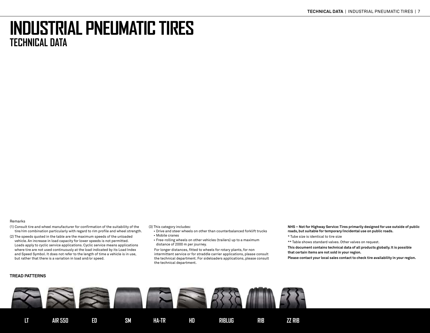#### Remarks

- (1) Consult tire and wheel manufacturer for confirmation of the suitability of the tire/rim combination particularly with regard to rim profile and wheel strength.
- (2) The speeds quoted in the table are the maximum speeds of the unloaded vehicle. An increase in load capacity for lower speeds is not permitted. Loads apply to cyclic service applications. Cyclic service means applications where tire are not used continuously at the load indicated by its Load Index and Speed Symbol. It does not refer to the length of time a vehicle is in use, but rather that there is a variation in load and/or speed.

#### **TREAD PATTERNS**

(3) This category includes:

- Drive and steer wheels on other than counterbalanced forklift trucks • Mobile cranes
- Free-rolling wheels on other vehicles (trailers) up to a maximum distance of 2000 m per journey.

 For longer distances, fitted to wheels for rotary plants, for non intermittent service or for straddle carrier applications, please consult the technical department. For sideloaders applications, please consult the technical department.

**NHS – Not for Highway Service: Tires primarily designed for use outside of public roads, but suitable for temporary/incidental use on public roads.**

\* Tube size is identical to tire size

\*\* Table shows standard valves. Other valves on request.

**This document contains technical data of all products globally. It is possible that certain items are not sold in your region.**

**Please contact your local sales contact to check tire availability in your region.**